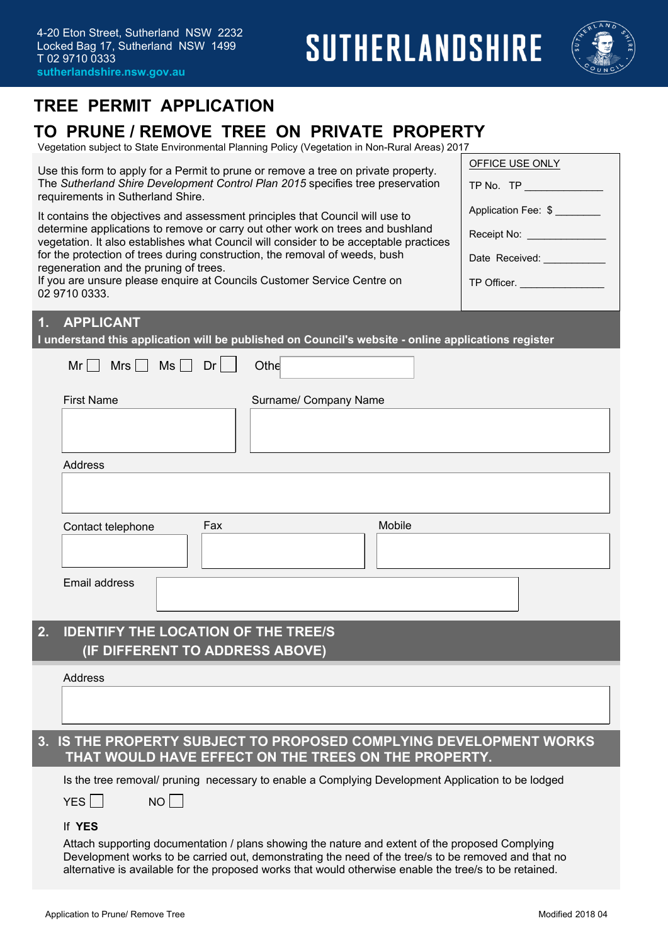

## **TREE PERMIT APPLICATION**

## **TO PRUNE / REMOVE TREE ON PRIVATE PROPERTY**

Vegetation subject to State Environmental Planning Policy (Vegetation in Non-Rural Areas) 2017

| OFFICE USE ONLY<br>Use this form to apply for a Permit to prune or remove a tree on private property.                                                                                                                                                                                                                                                |                                                                                        |  |  |  |  |  |
|------------------------------------------------------------------------------------------------------------------------------------------------------------------------------------------------------------------------------------------------------------------------------------------------------------------------------------------------------|----------------------------------------------------------------------------------------|--|--|--|--|--|
| The Sutherland Shire Development Control Plan 2015 specifies tree preservation<br>TP No. TP And The Contract of the Contract of the Contract of the Contract of the Contract of the Contract of the Contract of the Contract of the Contract of the Contract of the Contract of the Contract of the Contract of<br>requirements in Sutherland Shire. |                                                                                        |  |  |  |  |  |
| It contains the objectives and assessment principles that Council will use to                                                                                                                                                                                                                                                                        | Application Fee: \$                                                                    |  |  |  |  |  |
| determine applications to remove or carry out other work on trees and bushland                                                                                                                                                                                                                                                                       | Receipt No: _________________                                                          |  |  |  |  |  |
| vegetation. It also establishes what Council will consider to be acceptable practices<br>for the protection of trees during construction, the removal of weeds, bush                                                                                                                                                                                 | Date Received: _____________                                                           |  |  |  |  |  |
| regeneration and the pruning of trees.                                                                                                                                                                                                                                                                                                               |                                                                                        |  |  |  |  |  |
| 02 9710 0333.                                                                                                                                                                                                                                                                                                                                        | If you are unsure please enquire at Councils Customer Service Centre on<br>TP Officer. |  |  |  |  |  |
| <b>APPLICANT</b><br>1 <sub>1</sub>                                                                                                                                                                                                                                                                                                                   |                                                                                        |  |  |  |  |  |
| I understand this application will be published on Council's website - online applications register                                                                                                                                                                                                                                                  |                                                                                        |  |  |  |  |  |
| $Mr$ Mrs $Ms$ Dr $\vert$<br>Othe                                                                                                                                                                                                                                                                                                                     |                                                                                        |  |  |  |  |  |
| <b>First Name</b><br>Surname/ Company Name                                                                                                                                                                                                                                                                                                           |                                                                                        |  |  |  |  |  |
|                                                                                                                                                                                                                                                                                                                                                      |                                                                                        |  |  |  |  |  |
|                                                                                                                                                                                                                                                                                                                                                      |                                                                                        |  |  |  |  |  |
| <b>Address</b>                                                                                                                                                                                                                                                                                                                                       |                                                                                        |  |  |  |  |  |
|                                                                                                                                                                                                                                                                                                                                                      |                                                                                        |  |  |  |  |  |
|                                                                                                                                                                                                                                                                                                                                                      |                                                                                        |  |  |  |  |  |
| Fax<br>Contact telephone                                                                                                                                                                                                                                                                                                                             | Mobile                                                                                 |  |  |  |  |  |
|                                                                                                                                                                                                                                                                                                                                                      |                                                                                        |  |  |  |  |  |
| Email address                                                                                                                                                                                                                                                                                                                                        |                                                                                        |  |  |  |  |  |
|                                                                                                                                                                                                                                                                                                                                                      |                                                                                        |  |  |  |  |  |
|                                                                                                                                                                                                                                                                                                                                                      |                                                                                        |  |  |  |  |  |
| <b>IDENTIFY THE LOCATION OF THE TREE/S</b><br>2.<br>(IF DIFFERENT TO ADDRESS ABOVE)                                                                                                                                                                                                                                                                  |                                                                                        |  |  |  |  |  |
|                                                                                                                                                                                                                                                                                                                                                      |                                                                                        |  |  |  |  |  |
| <b>Address</b>                                                                                                                                                                                                                                                                                                                                       |                                                                                        |  |  |  |  |  |
|                                                                                                                                                                                                                                                                                                                                                      |                                                                                        |  |  |  |  |  |
| IS THE PROPERTY SUBJECT TO PROPOSED COMPLYING DEVELOPMENT WORKS<br>3.                                                                                                                                                                                                                                                                                |                                                                                        |  |  |  |  |  |
| THAT WOULD HAVE EFFECT ON THE TREES ON THE PROPERTY.                                                                                                                                                                                                                                                                                                 |                                                                                        |  |  |  |  |  |
| Is the tree removal/ pruning necessary to enable a Complying Development Application to be lodged                                                                                                                                                                                                                                                    |                                                                                        |  |  |  |  |  |
| $NO$    <br>YES                                                                                                                                                                                                                                                                                                                                      |                                                                                        |  |  |  |  |  |
| If YES                                                                                                                                                                                                                                                                                                                                               |                                                                                        |  |  |  |  |  |
| Attach supporting documentation / plans showing the nature and extent of the proposed Complying                                                                                                                                                                                                                                                      |                                                                                        |  |  |  |  |  |
| Development works to be carried out, demonstrating the need of the tree/s to be removed and that no<br>alternative is available for the proposed works that would otherwise enable the tree/s to be retained.                                                                                                                                        |                                                                                        |  |  |  |  |  |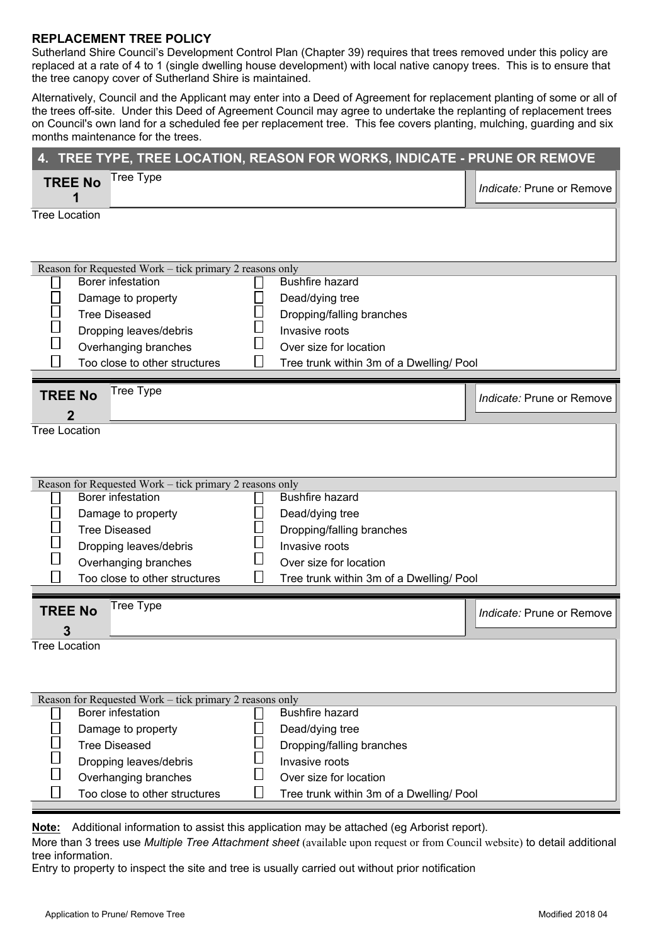## **REPLACEMENT TREE POLICY**

Sutherland Shire Council's Development Control Plan (Chapter 39) requires that trees removed under this policy are replaced at a rate of 4 to 1 (single dwelling house development) with local native canopy trees. This is to ensure that the tree canopy cover of Sutherland Shire is maintained.

Alternatively, Council and the Applicant may enter into a Deed of Agreement for replacement planting of some or all of the trees off-site. Under this Deed of Agreement Council may agree to undertake the replanting of replacement trees on Council's own land for a scheduled fee per replacement tree. This fee covers planting, mulching, guarding and six months maintenance for the trees.

| Tree Type<br><b>TREE No</b><br>Indicate: Prune or Remove<br><b>Tree Location</b><br>Reason for Requested Work - tick primary 2 reasons only<br><b>Bushfire hazard</b><br>Borer infestation<br>Damage to property<br>Dead/dying tree<br><b>Tree Diseased</b><br>Dropping/falling branches<br>Invasive roots<br>Dropping leaves/debris<br>$\Box$<br>Overhanging branches<br>Over size for location<br>$\vert \ \vert$<br>Too close to other structures<br>∐<br>Tree trunk within 3m of a Dwelling/ Pool<br><b>Tree Type</b><br><b>TREE No</b><br>Indicate: Prune or Remove<br><b>Tree Location</b><br>Reason for Requested Work - tick primary 2 reasons only<br>Borer infestation<br><b>Bushfire hazard</b><br>Dead/dying tree<br>Damage to property<br>$\overline{\phantom{a}}$<br><b>Tree Diseased</b><br>Dropping/falling branches<br>$\mathcal{L}_{\mathcal{A}}$<br>Invasive roots<br>Dropping leaves/debris<br>$\Box$<br>Overhanging branches<br>Over size for location |  |  |  |  |  |  |  |
|-----------------------------------------------------------------------------------------------------------------------------------------------------------------------------------------------------------------------------------------------------------------------------------------------------------------------------------------------------------------------------------------------------------------------------------------------------------------------------------------------------------------------------------------------------------------------------------------------------------------------------------------------------------------------------------------------------------------------------------------------------------------------------------------------------------------------------------------------------------------------------------------------------------------------------------------------------------------------------|--|--|--|--|--|--|--|
|                                                                                                                                                                                                                                                                                                                                                                                                                                                                                                                                                                                                                                                                                                                                                                                                                                                                                                                                                                             |  |  |  |  |  |  |  |
|                                                                                                                                                                                                                                                                                                                                                                                                                                                                                                                                                                                                                                                                                                                                                                                                                                                                                                                                                                             |  |  |  |  |  |  |  |
|                                                                                                                                                                                                                                                                                                                                                                                                                                                                                                                                                                                                                                                                                                                                                                                                                                                                                                                                                                             |  |  |  |  |  |  |  |
|                                                                                                                                                                                                                                                                                                                                                                                                                                                                                                                                                                                                                                                                                                                                                                                                                                                                                                                                                                             |  |  |  |  |  |  |  |
|                                                                                                                                                                                                                                                                                                                                                                                                                                                                                                                                                                                                                                                                                                                                                                                                                                                                                                                                                                             |  |  |  |  |  |  |  |
|                                                                                                                                                                                                                                                                                                                                                                                                                                                                                                                                                                                                                                                                                                                                                                                                                                                                                                                                                                             |  |  |  |  |  |  |  |
|                                                                                                                                                                                                                                                                                                                                                                                                                                                                                                                                                                                                                                                                                                                                                                                                                                                                                                                                                                             |  |  |  |  |  |  |  |
|                                                                                                                                                                                                                                                                                                                                                                                                                                                                                                                                                                                                                                                                                                                                                                                                                                                                                                                                                                             |  |  |  |  |  |  |  |
|                                                                                                                                                                                                                                                                                                                                                                                                                                                                                                                                                                                                                                                                                                                                                                                                                                                                                                                                                                             |  |  |  |  |  |  |  |
|                                                                                                                                                                                                                                                                                                                                                                                                                                                                                                                                                                                                                                                                                                                                                                                                                                                                                                                                                                             |  |  |  |  |  |  |  |
|                                                                                                                                                                                                                                                                                                                                                                                                                                                                                                                                                                                                                                                                                                                                                                                                                                                                                                                                                                             |  |  |  |  |  |  |  |
|                                                                                                                                                                                                                                                                                                                                                                                                                                                                                                                                                                                                                                                                                                                                                                                                                                                                                                                                                                             |  |  |  |  |  |  |  |
|                                                                                                                                                                                                                                                                                                                                                                                                                                                                                                                                                                                                                                                                                                                                                                                                                                                                                                                                                                             |  |  |  |  |  |  |  |
|                                                                                                                                                                                                                                                                                                                                                                                                                                                                                                                                                                                                                                                                                                                                                                                                                                                                                                                                                                             |  |  |  |  |  |  |  |
|                                                                                                                                                                                                                                                                                                                                                                                                                                                                                                                                                                                                                                                                                                                                                                                                                                                                                                                                                                             |  |  |  |  |  |  |  |
|                                                                                                                                                                                                                                                                                                                                                                                                                                                                                                                                                                                                                                                                                                                                                                                                                                                                                                                                                                             |  |  |  |  |  |  |  |
|                                                                                                                                                                                                                                                                                                                                                                                                                                                                                                                                                                                                                                                                                                                                                                                                                                                                                                                                                                             |  |  |  |  |  |  |  |
|                                                                                                                                                                                                                                                                                                                                                                                                                                                                                                                                                                                                                                                                                                                                                                                                                                                                                                                                                                             |  |  |  |  |  |  |  |
|                                                                                                                                                                                                                                                                                                                                                                                                                                                                                                                                                                                                                                                                                                                                                                                                                                                                                                                                                                             |  |  |  |  |  |  |  |
|                                                                                                                                                                                                                                                                                                                                                                                                                                                                                                                                                                                                                                                                                                                                                                                                                                                                                                                                                                             |  |  |  |  |  |  |  |
|                                                                                                                                                                                                                                                                                                                                                                                                                                                                                                                                                                                                                                                                                                                                                                                                                                                                                                                                                                             |  |  |  |  |  |  |  |
| $\vert \ \vert$<br>Too close to other structures<br>⊔<br>Tree trunk within 3m of a Dwelling/ Pool                                                                                                                                                                                                                                                                                                                                                                                                                                                                                                                                                                                                                                                                                                                                                                                                                                                                           |  |  |  |  |  |  |  |
|                                                                                                                                                                                                                                                                                                                                                                                                                                                                                                                                                                                                                                                                                                                                                                                                                                                                                                                                                                             |  |  |  |  |  |  |  |
| <b>Tree Type</b><br><b>TREE No</b><br>Indicate: Prune or Remove                                                                                                                                                                                                                                                                                                                                                                                                                                                                                                                                                                                                                                                                                                                                                                                                                                                                                                             |  |  |  |  |  |  |  |
| З                                                                                                                                                                                                                                                                                                                                                                                                                                                                                                                                                                                                                                                                                                                                                                                                                                                                                                                                                                           |  |  |  |  |  |  |  |
| <b>Tree Location</b>                                                                                                                                                                                                                                                                                                                                                                                                                                                                                                                                                                                                                                                                                                                                                                                                                                                                                                                                                        |  |  |  |  |  |  |  |
|                                                                                                                                                                                                                                                                                                                                                                                                                                                                                                                                                                                                                                                                                                                                                                                                                                                                                                                                                                             |  |  |  |  |  |  |  |
|                                                                                                                                                                                                                                                                                                                                                                                                                                                                                                                                                                                                                                                                                                                                                                                                                                                                                                                                                                             |  |  |  |  |  |  |  |
|                                                                                                                                                                                                                                                                                                                                                                                                                                                                                                                                                                                                                                                                                                                                                                                                                                                                                                                                                                             |  |  |  |  |  |  |  |
| Reason for Requested Work – tick primary 2 reasons only                                                                                                                                                                                                                                                                                                                                                                                                                                                                                                                                                                                                                                                                                                                                                                                                                                                                                                                     |  |  |  |  |  |  |  |
| <b>Bushfire hazard</b><br>Borer infestation                                                                                                                                                                                                                                                                                                                                                                                                                                                                                                                                                                                                                                                                                                                                                                                                                                                                                                                                 |  |  |  |  |  |  |  |
| Damage to property<br>Dead/dying tree                                                                                                                                                                                                                                                                                                                                                                                                                                                                                                                                                                                                                                                                                                                                                                                                                                                                                                                                       |  |  |  |  |  |  |  |
| <b>Tree Diseased</b><br>Dropping/falling branches                                                                                                                                                                                                                                                                                                                                                                                                                                                                                                                                                                                                                                                                                                                                                                                                                                                                                                                           |  |  |  |  |  |  |  |
| Dropping leaves/debris<br>Invasive roots                                                                                                                                                                                                                                                                                                                                                                                                                                                                                                                                                                                                                                                                                                                                                                                                                                                                                                                                    |  |  |  |  |  |  |  |
| Overhanging branches<br>Over size for location<br>Too close to other structures<br>Tree trunk within 3m of a Dwelling/ Pool                                                                                                                                                                                                                                                                                                                                                                                                                                                                                                                                                                                                                                                                                                                                                                                                                                                 |  |  |  |  |  |  |  |

**Note:** Additional information to assist this application may be attached (eg Arborist report).

More than 3 trees use *Multiple Tree Attachment sheet* (available upon request or from Council website) to detail additional tree information.

Entry to property to inspect the site and tree is usually carried out without prior notification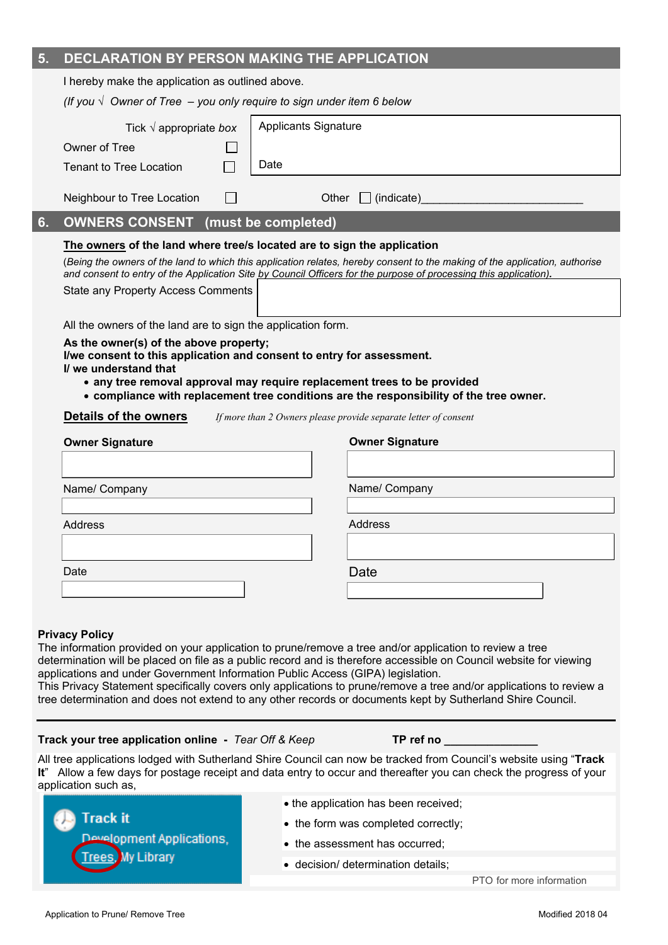| 5.                                                                                                                                                                                                                                                                                                                                                                                                                                                                                                                                                                             | DECLARATION BY PERSON MAKING THE APPLICATION                                                                                                                                                                                                                                                                                |                             |  |  |  |  |  |
|--------------------------------------------------------------------------------------------------------------------------------------------------------------------------------------------------------------------------------------------------------------------------------------------------------------------------------------------------------------------------------------------------------------------------------------------------------------------------------------------------------------------------------------------------------------------------------|-----------------------------------------------------------------------------------------------------------------------------------------------------------------------------------------------------------------------------------------------------------------------------------------------------------------------------|-----------------------------|--|--|--|--|--|
|                                                                                                                                                                                                                                                                                                                                                                                                                                                                                                                                                                                | I hereby make the application as outlined above.                                                                                                                                                                                                                                                                            |                             |  |  |  |  |  |
|                                                                                                                                                                                                                                                                                                                                                                                                                                                                                                                                                                                | (If you $\sqrt{ }$ Owner of Tree $-$ you only require to sign under item 6 below                                                                                                                                                                                                                                            |                             |  |  |  |  |  |
|                                                                                                                                                                                                                                                                                                                                                                                                                                                                                                                                                                                | Tick $\sqrt{ }$ appropriate box                                                                                                                                                                                                                                                                                             | <b>Applicants Signature</b> |  |  |  |  |  |
|                                                                                                                                                                                                                                                                                                                                                                                                                                                                                                                                                                                | Owner of Tree                                                                                                                                                                                                                                                                                                               |                             |  |  |  |  |  |
|                                                                                                                                                                                                                                                                                                                                                                                                                                                                                                                                                                                | <b>Tenant to Tree Location</b>                                                                                                                                                                                                                                                                                              | Date                        |  |  |  |  |  |
|                                                                                                                                                                                                                                                                                                                                                                                                                                                                                                                                                                                | Neighbour to Tree Location                                                                                                                                                                                                                                                                                                  | $\Box$ (indicate)<br>Other  |  |  |  |  |  |
| 6.                                                                                                                                                                                                                                                                                                                                                                                                                                                                                                                                                                             | <b>OWNERS CONSENT</b>                                                                                                                                                                                                                                                                                                       | (must be completed)         |  |  |  |  |  |
|                                                                                                                                                                                                                                                                                                                                                                                                                                                                                                                                                                                | The owners of the land where tree/s located are to sign the application<br>(Being the owners of the land to which this application relates, hereby consent to the making of the application, authorise<br>and consent to entry of the Application Site by Council Officers for the purpose of processing this application). |                             |  |  |  |  |  |
|                                                                                                                                                                                                                                                                                                                                                                                                                                                                                                                                                                                | <b>State any Property Access Comments</b>                                                                                                                                                                                                                                                                                   |                             |  |  |  |  |  |
|                                                                                                                                                                                                                                                                                                                                                                                                                                                                                                                                                                                | All the owners of the land are to sign the application form.                                                                                                                                                                                                                                                                |                             |  |  |  |  |  |
|                                                                                                                                                                                                                                                                                                                                                                                                                                                                                                                                                                                | As the owner(s) of the above property;<br>I/we consent to this application and consent to entry for assessment.<br>I/ we understand that<br>• any tree removal approval may require replacement trees to be provided<br>• compliance with replacement tree conditions are the responsibility of the tree owner.             |                             |  |  |  |  |  |
|                                                                                                                                                                                                                                                                                                                                                                                                                                                                                                                                                                                | <b>Details of the owners</b><br>If more than 2 Owners please provide separate letter of consent                                                                                                                                                                                                                             |                             |  |  |  |  |  |
|                                                                                                                                                                                                                                                                                                                                                                                                                                                                                                                                                                                | <b>Owner Signature</b>                                                                                                                                                                                                                                                                                                      | <b>Owner Signature</b>      |  |  |  |  |  |
|                                                                                                                                                                                                                                                                                                                                                                                                                                                                                                                                                                                |                                                                                                                                                                                                                                                                                                                             |                             |  |  |  |  |  |
|                                                                                                                                                                                                                                                                                                                                                                                                                                                                                                                                                                                | Name/ Company                                                                                                                                                                                                                                                                                                               | Name/ Company               |  |  |  |  |  |
|                                                                                                                                                                                                                                                                                                                                                                                                                                                                                                                                                                                |                                                                                                                                                                                                                                                                                                                             |                             |  |  |  |  |  |
| Address                                                                                                                                                                                                                                                                                                                                                                                                                                                                                                                                                                        |                                                                                                                                                                                                                                                                                                                             | Address                     |  |  |  |  |  |
|                                                                                                                                                                                                                                                                                                                                                                                                                                                                                                                                                                                |                                                                                                                                                                                                                                                                                                                             |                             |  |  |  |  |  |
|                                                                                                                                                                                                                                                                                                                                                                                                                                                                                                                                                                                | Date                                                                                                                                                                                                                                                                                                                        | Date                        |  |  |  |  |  |
|                                                                                                                                                                                                                                                                                                                                                                                                                                                                                                                                                                                |                                                                                                                                                                                                                                                                                                                             |                             |  |  |  |  |  |
| <b>Privacy Policy</b><br>The information provided on your application to prune/remove a tree and/or application to review a tree<br>determination will be placed on file as a public record and is therefore accessible on Council website for viewing<br>applications and under Government Information Public Access (GIPA) legislation.<br>This Privacy Statement specifically covers only applications to prune/remove a tree and/or applications to review a<br>tree determination and does not extend to any other records or documents kept by Sutherland Shire Council. |                                                                                                                                                                                                                                                                                                                             |                             |  |  |  |  |  |
|                                                                                                                                                                                                                                                                                                                                                                                                                                                                                                                                                                                | Track your tree application online - Tear Off & Keep                                                                                                                                                                                                                                                                        | TP ref no $\_$              |  |  |  |  |  |
| All tree applications lodged with Sutherland Shire Council can now be tracked from Council's website using "Track<br>It" Allow a few days for postage receipt and data entry to occur and thereafter you can check the progress of your<br>application such as,                                                                                                                                                                                                                                                                                                                |                                                                                                                                                                                                                                                                                                                             |                             |  |  |  |  |  |